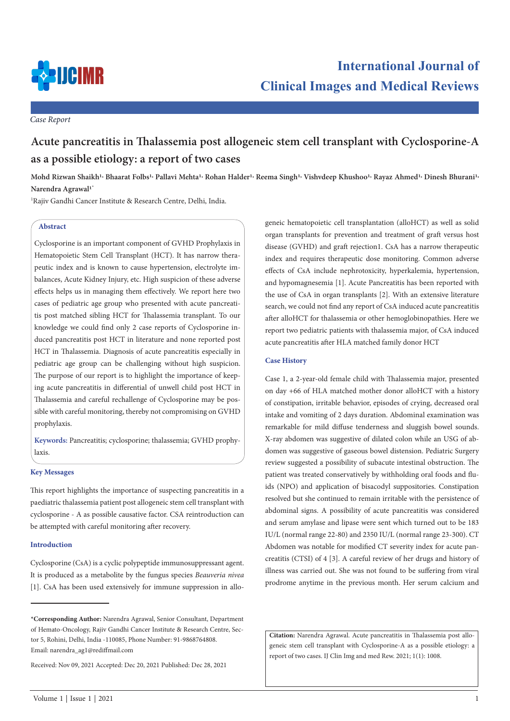

*Case Report*

# **Acute pancreatitis in Thalassemia post allogeneic stem cell transplant with Cyclosporine-A as a possible etiology: a report of two cases**

Mohd Rizwan Shaikh<sup>1,</sup> Bhaarat Folbs<sup>1,</sup> Pallavi Mehta<sup>1,</sup> Rohan Halder<sup>1,</sup> Reema Singh<sup>1,</sup> Vishvdeep Khushoo<sup>1,</sup> Rayaz Ahmed<sup>1,</sup> Dinesh Bhurani<sup>1,</sup> **Narendra Agrawal1\***

1 Rajiv Gandhi Cancer Institute & Research Centre, Delhi, India.

## **Abstract**

Cyclosporine is an important component of GVHD Prophylaxis in Hematopoietic Stem Cell Transplant (HCT). It has narrow therapeutic index and is known to cause hypertension, electrolyte imbalances, Acute Kidney Injury, etc. High suspicion of these adverse effects helps us in managing them effectively. We report here two cases of pediatric age group who presented with acute pancreatitis post matched sibling HCT for Thalassemia transplant. To our knowledge we could find only 2 case reports of Cyclosporine induced pancreatitis post HCT in literature and none reported post HCT in Thalassemia. Diagnosis of acute pancreatitis especially in pediatric age group can be challenging without high suspicion. The purpose of our report is to highlight the importance of keeping acute pancreatitis in differential of unwell child post HCT in Thalassemia and careful rechallenge of Cyclosporine may be possible with careful monitoring, thereby not compromising on GVHD prophylaxis.

**Keywords:** Pancreatitis; cyclosporine; thalassemia; GVHD prophylaxis.

## **Key Messages**

This report highlights the importance of suspecting pancreatitis in a paediatric thalassemia patient post allogeneic stem cell transplant with cyclosporine - A as possible causative factor. CSA reintroduction can be attempted with careful monitoring after recovery.

#### **Introduction**

Cyclosporine (CsA) is a cyclic polypeptide immunosuppressant agent. It is produced as a metabolite by the fungus species *Beauveria nivea*  [1]. CsA has been used extensively for immune suppression in allogeneic hematopoietic cell transplantation (alloHCT) as well as solid organ transplants for prevention and treatment of graft versus host disease (GVHD) and graft rejection1. CsA has a narrow therapeutic index and requires therapeutic dose monitoring. Common adverse effects of CsA include nephrotoxicity, hyperkalemia, hypertension, and hypomagnesemia [1]. Acute Pancreatitis has been reported with the use of CsA in organ transplants [2]. With an extensive literature search, we could not find any report of CsA induced acute pancreatitis after alloHCT for thalassemia or other hemoglobinopathies. Here we report two pediatric patients with thalassemia major, of CsA induced acute pancreatitis after HLA matched family donor HCT

## **Case History**

Case 1, a 2-year-old female child with Thalassemia major, presented on day +66 of HLA matched mother donor alloHCT with a history of constipation, irritable behavior, episodes of crying, decreased oral intake and vomiting of 2 days duration. Abdominal examination was remarkable for mild diffuse tenderness and sluggish bowel sounds. X-ray abdomen was suggestive of dilated colon while an USG of abdomen was suggestive of gaseous bowel distension. Pediatric Surgery review suggested a possibility of subacute intestinal obstruction. The patient was treated conservatively by withholding oral foods and fluids (NPO) and application of bisacodyl suppositories. Constipation resolved but she continued to remain irritable with the persistence of abdominal signs. A possibility of acute pancreatitis was considered and serum amylase and lipase were sent which turned out to be 183 IU/L (normal range 22-80) and 2350 IU/L (normal range 23-300). CT Abdomen was notable for modified CT severity index for acute pancreatitis (CTSI) of 4 [3]. A careful review of her drugs and history of illness was carried out. She was not found to be suffering from viral prodrome anytime in the previous month. Her serum calcium and

**Citation:** Narendra Agrawal. Acute pancreatitis in Thalassemia post allogeneic stem cell transplant with Cyclosporine-A as a possible etiology: a report of two cases. IJ Clin Img and med Rew. 2021; 1(1): 1008.

**<sup>\*</sup>Corresponding Author:** Narendra Agrawal, Senior Consultant, Department of Hemato-Oncology, Rajiv Gandhi Cancer Institute & Research Centre, Sector 5, Rohini, Delhi, India -110085, Phone Number: 91-9868764808. Email: narendra\_ag1@rediffmail.com

Received: Nov 09, 2021 Accepted: Dec 20, 2021 Published: Dec 28, 2021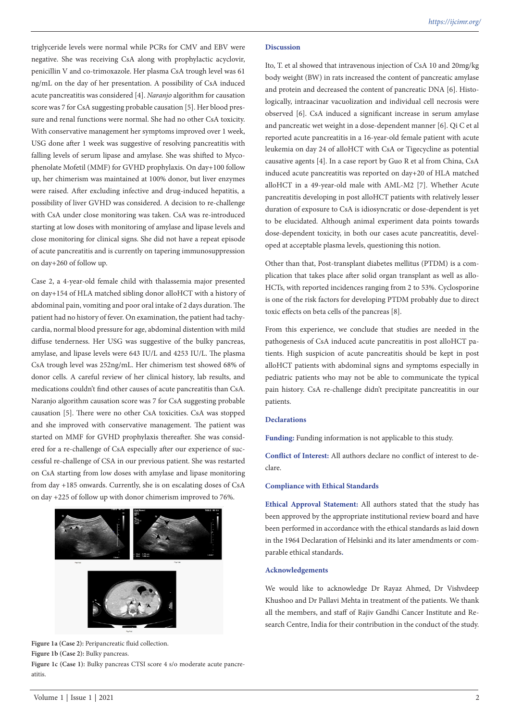triglyceride levels were normal while PCRs for CMV and EBV were negative. She was receiving CsA along with prophylactic acyclovir, penicillin V and co-trimoxazole. Her plasma CsA trough level was 61 ng/mL on the day of her presentation. A possibility of CsA induced acute pancreatitis was considered [4]. *Naranjo* algorithm for causation score was 7 for CsA suggesting probable causation [5]. Her blood pressure and renal functions were normal. She had no other CsA toxicity. With conservative management her symptoms improved over 1 week, USG done after 1 week was suggestive of resolving pancreatitis with falling levels of serum lipase and amylase. She was shifted to Mycophenolate Mofetil (MMF) for GVHD prophylaxis. On day+100 follow up, her chimerism was maintained at 100% donor, but liver enzymes were raised. After excluding infective and drug-induced hepatitis, a possibility of liver GVHD was considered. A decision to re-challenge with CsA under close monitoring was taken. CsA was re-introduced starting at low doses with monitoring of amylase and lipase levels and close monitoring for clinical signs. She did not have a repeat episode of acute pancreatitis and is currently on tapering immunosuppression on day+260 of follow up.

Case 2, a 4-year-old female child with thalassemia major presented on day+154 of HLA matched sibling donor alloHCT with a history of abdominal pain, vomiting and poor oral intake of 2 days duration. The patient had no history of fever. On examination, the patient had tachycardia, normal blood pressure for age, abdominal distention with mild diffuse tenderness. Her USG was suggestive of the bulky pancreas, amylase, and lipase levels were 643 IU/L and 4253 IU/L. The plasma CsA trough level was 252ng/mL. Her chimerism test showed 68% of donor cells. A careful review of her clinical history, lab results, and medications couldn't find other causes of acute pancreatitis than CsA. Naranjo algorithm causation score was 7 for CsA suggesting probable causation [5]. There were no other CsA toxicities. CsA was stopped and she improved with conservative management. The patient was started on MMF for GVHD prophylaxis thereafter. She was considered for a re-challenge of CsA especially after our experience of successful re-challenge of CSA in our previous patient. She was restarted on CsA starting from low doses with amylase and lipase monitoring from day +185 onwards. Currently, she is on escalating doses of CsA on day +225 of follow up with donor chimerism improved to 76%.



Figure 1a (Case 2): Peripancreatic fluid collection. **Figure 1b (Case 2):** Bulky pancreas. **Figure 1c (Case 1):** Bulky pancreas CTSI score 4 s/o moderate acute pancreatitis.

#### **Discussion**

Ito, T. et al showed that intravenous injection of CsA 10 and 20mg/kg body weight (BW) in rats increased the content of pancreatic amylase and protein and decreased the content of pancreatic DNA [6]. Histologically, intraacinar vacuolization and individual cell necrosis were observed [6]. CsA induced a significant increase in serum amylase and pancreatic wet weight in a dose-dependent manner [6]. Qi C et al reported acute pancreatitis in a 16-year-old female patient with acute leukemia on day 24 of alloHCT with CsA or Tigecycline as potential causative agents [4]. In a case report by Guo R et al from China, CsA induced acute pancreatitis was reported on day+20 of HLA matched alloHCT in a 49-year-old male with AML-M2 [7]. Whether Acute pancreatitis developing in post alloHCT patients with relatively lesser duration of exposure to CsA is idiosyncratic or dose-dependent is yet to be elucidated. Although animal experiment data points towards dose-dependent toxicity, in both our cases acute pancreatitis, developed at acceptable plasma levels, questioning this notion.

Other than that, Post-transplant diabetes mellitus (PTDM) is a complication that takes place after solid organ transplant as well as allo-HCTs, with reported incidences ranging from 2 to 53%. Cyclosporine is one of the risk factors for developing PTDM probably due to direct toxic effects on beta cells of the pancreas [8].

From this experience, we conclude that studies are needed in the pathogenesis of CsA induced acute pancreatitis in post alloHCT patients. High suspicion of acute pancreatitis should be kept in post alloHCT patients with abdominal signs and symptoms especially in pediatric patients who may not be able to communicate the typical pain history. CsA re-challenge didn't precipitate pancreatitis in our patients.

## **Declarations**

**Funding:** Funding information is not applicable to this study.

**Conflict of Interest:** All authors declare no conflict of interest to declare.

## **Compliance with Ethical Standards**

**Ethical Approval Statement:** All authors stated that the study has been approved by the appropriate institutional review board and have been performed in accordance with the ethical standards as laid down in the 1964 Declaration of Helsinki and its later amendments or comparable ethical standards**.**

# **Acknowledgements**

We would like to acknowledge Dr Rayaz Ahmed, Dr Vishvdeep Khushoo and Dr Pallavi Mehta in treatment of the patients. We thank all the members, and staff of Rajiv Gandhi Cancer Institute and Research Centre, India for their contribution in the conduct of the study.